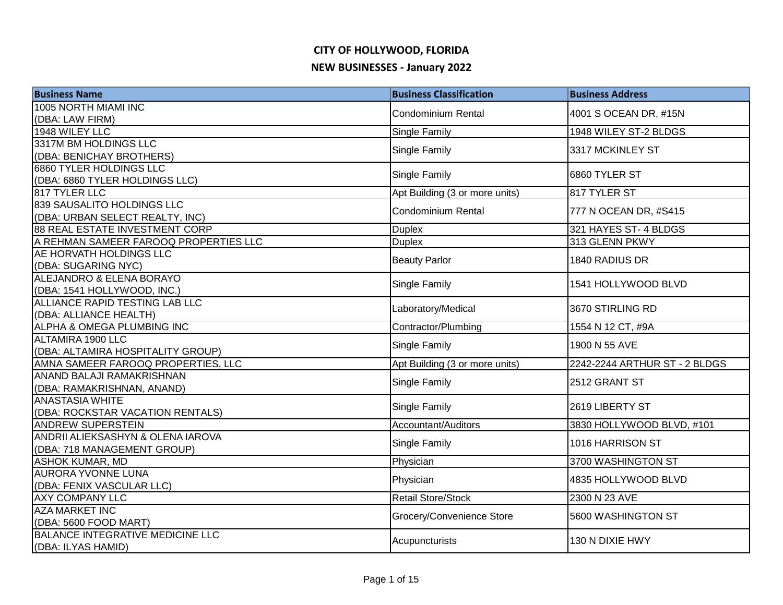| <b>Business Name</b>                                             | <b>Business Classification</b> | <b>Business Address</b>       |
|------------------------------------------------------------------|--------------------------------|-------------------------------|
| 1005 NORTH MIAMI INC                                             | <b>Condominium Rental</b>      | 4001 S OCEAN DR, #15N         |
| (DBA: LAW FIRM)                                                  |                                |                               |
| 1948 WILEY LLC                                                   | Single Family                  | 1948 WILEY ST-2 BLDGS         |
| 3317M BM HOLDINGS LLC                                            | Single Family                  | 3317 MCKINLEY ST              |
| (DBA: BENICHAY BROTHERS)                                         |                                |                               |
| 6860 TYLER HOLDINGS LLC                                          | Single Family                  | 6860 TYLER ST                 |
| (DBA: 6860 TYLER HOLDINGS LLC)                                   |                                |                               |
| 817 TYLER LLC                                                    | Apt Building (3 or more units) | 817 TYLER ST                  |
| 839 SAUSALITO HOLDINGS LLC                                       | <b>Condominium Rental</b>      | 777 N OCEAN DR, #S415         |
| (DBA: URBAN SELECT REALTY, INC)                                  |                                |                               |
| <b>88 REAL ESTATE INVESTMENT CORP</b>                            | <b>Duplex</b>                  | 321 HAYES ST-4 BLDGS          |
| A REHMAN SAMEER FAROOQ PROPERTIES LLC<br>AE HORVATH HOLDINGS LLC | <b>Duplex</b>                  | 313 GLENN PKWY                |
| (DBA: SUGARING NYC)                                              | <b>Beauty Parlor</b>           | 1840 RADIUS DR                |
| <b>ALEJANDRO &amp; ELENA BORAYO</b>                              |                                |                               |
| (DBA: 1541 HOLLYWOOD, INC.)                                      | Single Family                  | 1541 HOLLYWOOD BLVD           |
| ALLIANCE RAPID TESTING LAB LLC                                   |                                |                               |
| (DBA: ALLIANCE HEALTH)                                           | Laboratory/Medical             | 3670 STIRLING RD              |
| ALPHA & OMEGA PLUMBING INC                                       | Contractor/Plumbing            | 1554 N 12 CT, #9A             |
| ALTAMIRA 1900 LLC                                                |                                | 1900 N 55 AVE                 |
| (DBA: ALTAMIRA HOSPITALITY GROUP)                                | Single Family                  |                               |
| AMNA SAMEER FAROOQ PROPERTIES, LLC                               | Apt Building (3 or more units) | 2242-2244 ARTHUR ST - 2 BLDGS |
| ANAND BALAJI RAMAKRISHNAN                                        | Single Family                  | 2512 GRANT ST                 |
| (DBA: RAMAKRISHNAN, ANAND)                                       |                                |                               |
| <b>ANASTASIA WHITE</b>                                           | Single Family                  | 2619 LIBERTY ST               |
| (DBA: ROCKSTAR VACATION RENTALS)                                 |                                |                               |
| <b>ANDREW SUPERSTEIN</b>                                         | Accountant/Auditors            | 3830 HOLLYWOOD BLVD, #101     |
| ANDRII ALIEKSASHYN & OLENA IAROVA                                | Single Family                  | 1016 HARRISON ST              |
| (DBA: 718 MANAGEMENT GROUP)                                      |                                |                               |
| <b>ASHOK KUMAR, MD</b><br><b>AURORA YVONNE LUNA</b>              | Physician                      | 3700 WASHINGTON ST            |
| (DBA: FENIX VASCULAR LLC)                                        | Physician                      | 4835 HOLLYWOOD BLVD           |
| <b>AXY COMPANY LLC</b>                                           | Retail Store/Stock             | 2300 N 23 AVE                 |
| <b>AZA MARKET INC</b>                                            |                                |                               |
| (DBA: 5600 FOOD MART)                                            | Grocery/Convenience Store      | 5600 WASHINGTON ST            |
| <b>BALANCE INTEGRATIVE MEDICINE LLC</b>                          |                                |                               |
| (DBA: ILYAS HAMID)                                               | Acupuncturists                 | 130 N DIXIE HWY               |
|                                                                  |                                |                               |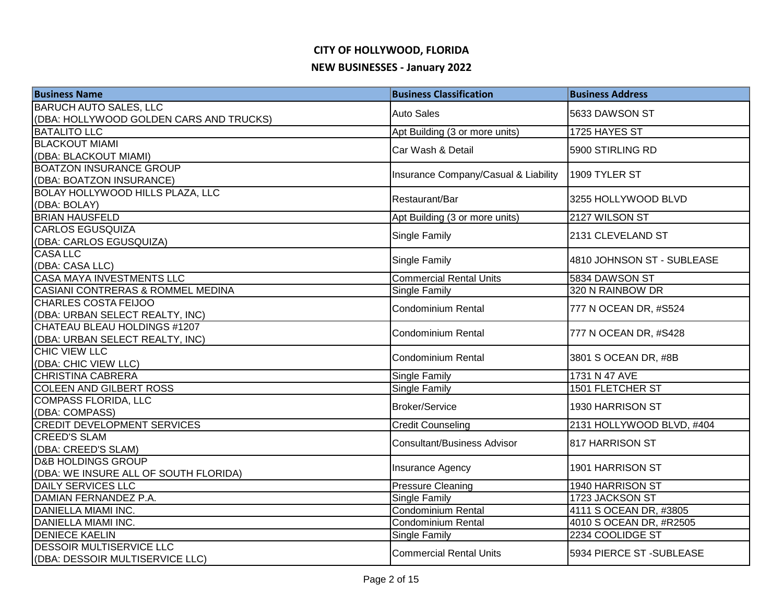| <b>Business Name</b>                             | <b>Business Classification</b>               | <b>Business Address</b>    |
|--------------------------------------------------|----------------------------------------------|----------------------------|
| <b>BARUCH AUTO SALES, LLC</b>                    | <b>Auto Sales</b>                            | 5633 DAWSON ST             |
| (DBA: HOLLYWOOD GOLDEN CARS AND TRUCKS)          |                                              |                            |
| <b>BATALITO LLC</b>                              | Apt Building (3 or more units)               | 1725 HAYES ST              |
| <b>BLACKOUT MIAMI</b>                            | Car Wash & Detail                            | 5900 STIRLING RD           |
| (DBA: BLACKOUT MIAMI)                            |                                              |                            |
| <b>BOATZON INSURANCE GROUP</b>                   | Insurance Company/Casual & Liability         | 1909 TYLER ST              |
| (DBA: BOATZON INSURANCE)                         |                                              |                            |
| <b>BOLAY HOLLYWOOD HILLS PLAZA, LLC</b>          | Restaurant/Bar                               | 3255 HOLLYWOOD BLVD        |
| (DBA: BOLAY)                                     |                                              |                            |
| <b>BRIAN HAUSFELD</b>                            | Apt Building (3 or more units)               | 2127 WILSON ST             |
| <b>CARLOS EGUSQUIZA</b>                          | Single Family                                | 2131 CLEVELAND ST          |
| (DBA: CARLOS EGUSQUIZA)                          |                                              |                            |
| <b>CASALLC</b>                                   | Single Family                                | 4810 JOHNSON ST - SUBLEASE |
| (DBA: CASA LLC)                                  |                                              |                            |
| <b>CASA MAYA INVESTMENTS LLC</b>                 | <b>Commercial Rental Units</b>               | 5834 DAWSON ST             |
| CASIANI CONTRERAS & ROMMEL MEDINA                | Single Family                                | 320 N RAINBOW DR           |
| <b>CHARLES COSTA FEIJOO</b>                      | <b>Condominium Rental</b>                    | 777 N OCEAN DR, #S524      |
| (DBA: URBAN SELECT REALTY, INC)                  |                                              |                            |
| CHATEAU BLEAU HOLDINGS #1207                     | <b>Condominium Rental</b>                    | 777 N OCEAN DR, #S428      |
| (DBA: URBAN SELECT REALTY, INC)<br>CHIC VIEW LLC |                                              |                            |
|                                                  | <b>Condominium Rental</b>                    | 3801 S OCEAN DR, #8B       |
| (DBA: CHIC VIEW LLC)<br><b>CHRISTINA CABRERA</b> |                                              | 1731 N 47 AVE              |
| <b>COLEEN AND GILBERT ROSS</b>                   | <b>Single Family</b><br><b>Single Family</b> | <b>1501 FLETCHER ST</b>    |
| <b>COMPASS FLORIDA, LLC</b>                      |                                              |                            |
| (DBA: COMPASS)                                   | <b>Broker/Service</b>                        | 1930 HARRISON ST           |
| <b>CREDIT DEVELOPMENT SERVICES</b>               | <b>Credit Counseling</b>                     | 2131 HOLLYWOOD BLVD, #404  |
| <b>CREED'S SLAM</b>                              |                                              |                            |
| (DBA: CREED'S SLAM)                              | <b>Consultant/Business Advisor</b>           | 817 HARRISON ST            |
| <b>D&amp;B HOLDINGS GROUP</b>                    |                                              |                            |
| (DBA: WE INSURE ALL OF SOUTH FLORIDA)            | Insurance Agency                             | 1901 HARRISON ST           |
| DAILY SERVICES LLC                               | <b>Pressure Cleaning</b>                     | 1940 HARRISON ST           |
| DAMIAN FERNANDEZ P.A.                            | Single Family                                | 1723 JACKSON ST            |
| <b>DANIELLA MIAMI INC.</b>                       | <b>Condominium Rental</b>                    | 4111 S OCEAN DR, #3805     |
| DANIELLA MIAMI INC.                              | Condominium Rental                           | 4010 S OCEAN DR, #R2505    |
| <b>DENIECE KAELIN</b>                            | Single Family                                | 2234 COOLIDGE ST           |
| <b>DESSOIR MULTISERVICE LLC</b>                  | <b>Commercial Rental Units</b>               | 5934 PIERCE ST - SUBLEASE  |
| (DBA: DESSOIR MULTISERVICE LLC)                  |                                              |                            |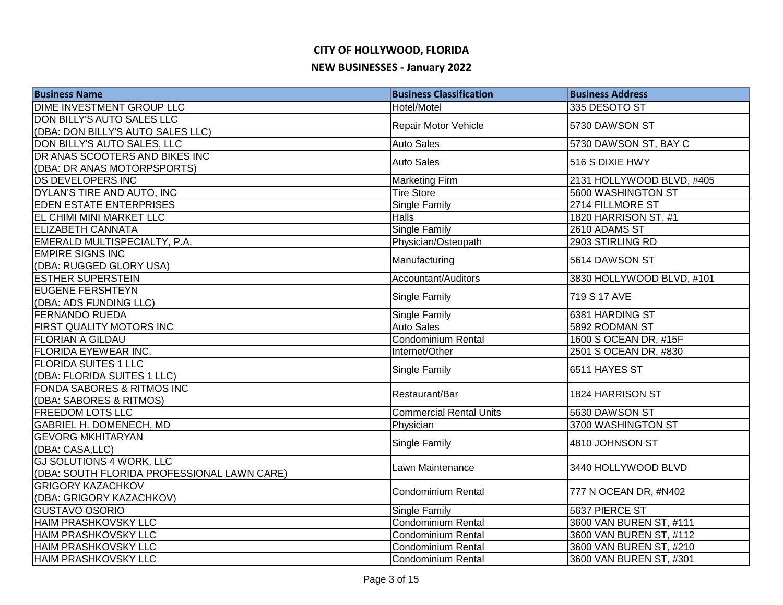# **CITY OF HOLLYWOOD, FLORIDA**

#### **NEW BUSINESSES - January 2022**

| <b>Business Name</b>                        | <b>Business Classification</b> | <b>Business Address</b>   |
|---------------------------------------------|--------------------------------|---------------------------|
| <b>DIME INVESTMENT GROUP LLC</b>            | Hotel/Motel                    | 335 DESOTO ST             |
| DON BILLY'S AUTO SALES LLC                  |                                |                           |
| (DBA: DON BILLY'S AUTO SALES LLC)           | Repair Motor Vehicle           | 5730 DAWSON ST            |
| DON BILLY'S AUTO SALES, LLC                 | <b>Auto Sales</b>              | 5730 DAWSON ST, BAY C     |
| DR ANAS SCOOTERS AND BIKES INC              | <b>Auto Sales</b>              | 516 S DIXIE HWY           |
| (DBA: DR ANAS MOTORPSPORTS)                 |                                |                           |
| <b>DS DEVELOPERS INC</b>                    | <b>Marketing Firm</b>          | 2131 HOLLYWOOD BLVD, #405 |
| DYLAN'S TIRE AND AUTO, INC                  | <b>Tire Store</b>              | 5600 WASHINGTON ST        |
| <b>EDEN ESTATE ENTERPRISES</b>              | <b>Single Family</b>           | 2714 FILLMORE ST          |
| EL CHIMI MINI MARKET LLC                    | <b>Halls</b>                   | 1820 HARRISON ST, #1      |
| <b>ELIZABETH CANNATA</b>                    | <b>Single Family</b>           | 2610 ADAMS ST             |
| EMERALD MULTISPECIALTY, P.A.                | Physician/Osteopath            | 2903 STIRLING RD          |
| <b>EMPIRE SIGNS INC</b>                     |                                |                           |
| (DBA: RUGGED GLORY USA)                     | Manufacturing                  | 5614 DAWSON ST            |
| <b>ESTHER SUPERSTEIN</b>                    | Accountant/Auditors            | 3830 HOLLYWOOD BLVD, #101 |
| <b>EUGENE FERSHTEYN</b>                     |                                | 719 S 17 AVE              |
| (DBA: ADS FUNDING LLC)                      | Single Family                  |                           |
| <b>FERNANDO RUEDA</b>                       | <b>Single Family</b>           | 6381 HARDING ST           |
| <b>FIRST QUALITY MOTORS INC</b>             | <b>Auto Sales</b>              | 5892 RODMAN ST            |
| <b>FLORIAN A GILDAU</b>                     | Condominium Rental             | 1600 S OCEAN DR, #15F     |
| <b>FLORIDA EYEWEAR INC.</b>                 | Internet/Other                 | 2501 S OCEAN DR, #830     |
| <b>FLORIDA SUITES 1 LLC</b>                 |                                | 6511 HAYES ST             |
| (DBA: FLORIDA SUITES 1 LLC)                 | Single Family                  |                           |
| FONDA SABORES & RITMOS INC                  | Restaurant/Bar                 | 1824 HARRISON ST          |
| (DBA: SABORES & RITMOS)                     |                                |                           |
| <b>FREEDOM LOTS LLC</b>                     | <b>Commercial Rental Units</b> | 5630 DAWSON ST            |
| <b>GABRIEL H. DOMENECH, MD</b>              | Physician                      | 3700 WASHINGTON ST        |
| <b>GEVORG MKHITARYAN</b>                    | Single Family                  | 4810 JOHNSON ST           |
| (DBA: CASA, LLC)                            |                                |                           |
| <b>GJ SOLUTIONS 4 WORK, LLC</b>             | Lawn Maintenance               | 3440 HOLLYWOOD BLVD       |
| (DBA: SOUTH FLORIDA PROFESSIONAL LAWN CARE) |                                |                           |
| <b>GRIGORY KAZACHKOV</b>                    | <b>Condominium Rental</b>      | 777 N OCEAN DR, #N402     |
| (DBA: GRIGORY KAZACHKOV)                    |                                |                           |
| <b>GUSTAVO OSORIO</b>                       | <b>Single Family</b>           | 5637 PIERCE ST            |
| HAIM PRASHKOVSKY LLC                        | <b>Condominium Rental</b>      | 3600 VAN BUREN ST, #111   |
| <b>HAIM PRASHKOVSKY LLC</b>                 | Condominium Rental             | 3600 VAN BUREN ST, #112   |
| <b>HAIM PRASHKOVSKY LLC</b>                 | Condominium Rental             | 3600 VAN BUREN ST, #210   |
| <b>HAIM PRASHKOVSKY LLC</b>                 | Condominium Rental             | 3600 VAN BUREN ST, #301   |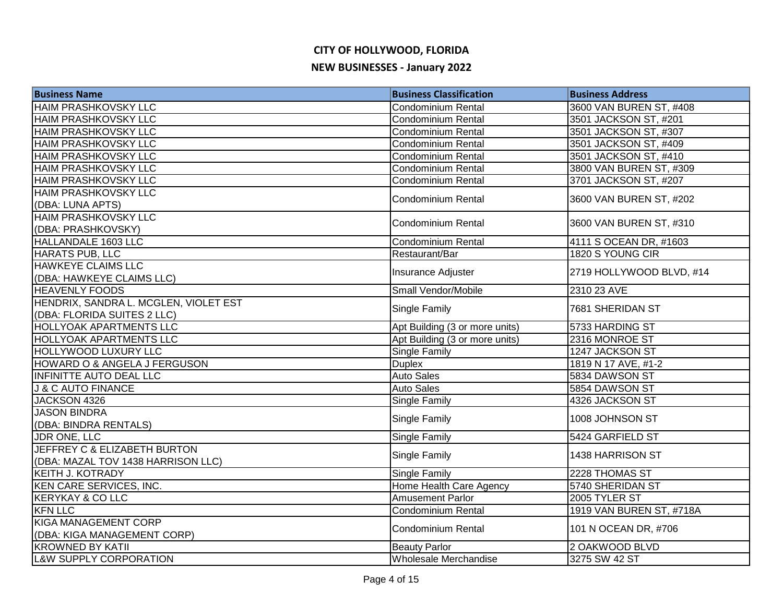| <b>Business Name</b>                  | <b>Business Classification</b> | <b>Business Address</b>  |
|---------------------------------------|--------------------------------|--------------------------|
| <b>HAIM PRASHKOVSKY LLC</b>           | <b>Condominium Rental</b>      | 3600 VAN BUREN ST, #408  |
| <b>HAIM PRASHKOVSKY LLC</b>           | Condominium Rental             | 3501 JACKSON ST, #201    |
| HAIM PRASHKOVSKY LLC                  | <b>Condominium Rental</b>      | 3501 JACKSON ST, #307    |
| <b>HAIM PRASHKOVSKY LLC</b>           | <b>Condominium Rental</b>      | 3501 JACKSON ST, #409    |
| <b>HAIM PRASHKOVSKY LLC</b>           | <b>Condominium Rental</b>      | 3501 JACKSON ST, #410    |
| <b>HAIM PRASHKOVSKY LLC</b>           | Condominium Rental             | 3800 VAN BUREN ST, #309  |
| <b>HAIM PRASHKOVSKY LLC</b>           | <b>Condominium Rental</b>      | 3701 JACKSON ST, #207    |
| <b>HAIM PRASHKOVSKY LLC</b>           | Condominium Rental             | 3600 VAN BUREN ST, #202  |
| (DBA: LUNA APTS)                      |                                |                          |
| <b>HAIM PRASHKOVSKY LLC</b>           | <b>Condominium Rental</b>      | 3600 VAN BUREN ST, #310  |
| (DBA: PRASHKOVSKY)                    |                                |                          |
| HALLANDALE 1603 LLC                   | <b>Condominium Rental</b>      | 4111 S OCEAN DR, #1603   |
| HARATS PUB, LLC                       | Restaurant/Bar                 | 1820 S YOUNG CIR         |
| <b>HAWKEYE CLAIMS LLC</b>             | Insurance Adjuster             | 2719 HOLLYWOOD BLVD, #14 |
| (DBA: HAWKEYE CLAIMS LLC)             |                                |                          |
| <b>HEAVENLY FOODS</b>                 | Small Vendor/Mobile            | 2310 23 AVE              |
| HENDRIX, SANDRA L. MCGLEN, VIOLET EST | <b>Single Family</b>           | 7681 SHERIDAN ST         |
| (DBA: FLORIDA SUITES 2 LLC)           |                                |                          |
| <b>HOLLYOAK APARTMENTS LLC</b>        | Apt Building (3 or more units) | 5733 HARDING ST          |
| <b>HOLLYOAK APARTMENTS LLC</b>        | Apt Building (3 or more units) | 2316 MONROE ST           |
| HOLLYWOOD LUXURY LLC                  | Single Family                  | 1247 JACKSON ST          |
| HOWARD O & ANGELA J FERGUSON          | <b>Duplex</b>                  | 1819 N 17 AVE, #1-2      |
| INFINITTE AUTO DEAL LLC               | <b>Auto Sales</b>              | 5834 DAWSON ST           |
| <b>J &amp; C AUTO FINANCE</b>         | <b>Auto Sales</b>              | 5854 DAWSON ST           |
| JACKSON 4326                          | Single Family                  | 4326 JACKSON ST          |
| <b>JASON BINDRA</b>                   | Single Family                  | 1008 JOHNSON ST          |
| (DBA: BINDRA RENTALS)                 |                                |                          |
| <b>JDR ONE, LLC</b>                   | Single Family                  | 5424 GARFIELD ST         |
| JEFFREY C & ELIZABETH BURTON          | Single Family                  | 1438 HARRISON ST         |
| (DBA: MAZAL TOV 1438 HARRISON LLC)    |                                |                          |
| <b>KEITH J. KOTRADY</b>               | Single Family                  | 2228 THOMAS ST           |
| KEN CARE SERVICES, INC.               | Home Health Care Agency        | 5740 SHERIDAN ST         |
| <b>KERYKAY &amp; CO LLC</b>           | <b>Amusement Parlor</b>        | 2005 TYLER ST            |
| <b>KFN LLC</b>                        | <b>Condominium Rental</b>      | 1919 VAN BUREN ST, #718A |
| <b>KIGA MANAGEMENT CORP</b>           | Condominium Rental             | 101 N OCEAN DR, #706     |
| (DBA: KIGA MANAGEMENT CORP)           |                                |                          |
| <b>KROWNED BY KATII</b>               | <b>Beauty Parlor</b>           | 2 OAKWOOD BLVD           |
| <b>L&amp;W SUPPLY CORPORATION</b>     | Wholesale Merchandise          | 3275 SW 42 ST            |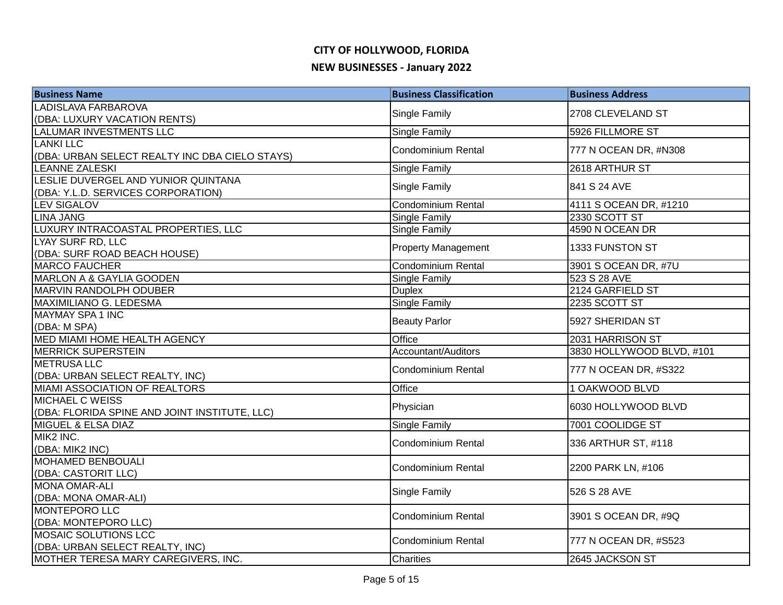| <b>Business Name</b>                           | <b>Business Classification</b> | <b>Business Address</b>   |
|------------------------------------------------|--------------------------------|---------------------------|
| LADISLAVA FARBAROVA                            | Single Family                  | 2708 CLEVELAND ST         |
| (DBA: LUXURY VACATION RENTS)                   |                                |                           |
| LALUMAR INVESTMENTS LLC                        | Single Family                  | 5926 FILLMORE ST          |
| <b>LANKI LLC</b>                               | <b>Condominium Rental</b>      | 777 N OCEAN DR, #N308     |
| (DBA: URBAN SELECT REALTY INC DBA CIELO STAYS) |                                |                           |
| <b>LEANNE ZALESKI</b>                          | <b>Single Family</b>           | 2618 ARTHUR ST            |
| LESLIE DUVERGEL AND YUNIOR QUINTANA            | Single Family                  | 841 S 24 AVE              |
| (DBA: Y.L.D. SERVICES CORPORATION)             |                                |                           |
| <b>LEV SIGALOV</b>                             | Condominium Rental             | 4111 S OCEAN DR, #1210    |
| <b>LINA JANG</b>                               | <b>Single Family</b>           | 2330 SCOTT ST             |
| LUXURY INTRACOASTAL PROPERTIES, LLC            | Single Family                  | 4590 N OCEAN DR           |
| LYAY SURF RD, LLC                              | <b>Property Management</b>     | 1333 FUNSTON ST           |
| (DBA: SURF ROAD BEACH HOUSE)                   |                                |                           |
| <b>MARCO FAUCHER</b>                           | <b>Condominium Rental</b>      | 3901 S OCEAN DR, #7U      |
| <b>MARLON A &amp; GAYLIA GOODEN</b>            | Single Family                  | 523 S 28 AVE              |
| <b>MARVIN RANDOLPH ODUBER</b>                  | <b>Duplex</b>                  | 2124 GARFIELD ST          |
| MAXIMILIANO G. LEDESMA                         | Single Family                  | 2235 SCOTT ST             |
| MAYMAY SPA 1 INC<br>(DBA: M SPA)               | <b>Beauty Parlor</b>           | 5927 SHERIDAN ST          |
| MED MIAMI HOME HEALTH AGENCY                   | Office                         | 2031 HARRISON ST          |
| <b>MERRICK SUPERSTEIN</b>                      | Accountant/Auditors            | 3830 HOLLYWOOD BLVD, #101 |
| <b>METRUSALLC</b>                              |                                |                           |
| (DBA: URBAN SELECT REALTY, INC)                | <b>Condominium Rental</b>      | 777 N OCEAN DR, #S322     |
| MIAMI ASSOCIATION OF REALTORS                  | Office                         | 1 OAKWOOD BLVD            |
| <b>MICHAEL C WEISS</b>                         |                                |                           |
| (DBA: FLORIDA SPINE AND JOINT INSTITUTE, LLC)  | Physician                      | 6030 HOLLYWOOD BLVD       |
| MIGUEL & ELSA DIAZ                             | Single Family                  | 7001 COOLIDGE ST          |
| MIK2 INC.                                      | Condominium Rental             | 336 ARTHUR ST, #118       |
| (DBA: MIK2 INC)                                |                                |                           |
| <b>MOHAMED BENBOUALI</b>                       | <b>Condominium Rental</b>      | 2200 PARK LN, #106        |
| (DBA: CASTORIT LLC)                            |                                |                           |
| <b>MONA OMAR-ALI</b>                           | Single Family                  | 526 S 28 AVE              |
| (DBA: MONA OMAR-ALI)                           |                                |                           |
| <b>MONTEPORO LLC</b>                           | <b>Condominium Rental</b>      | 3901 S OCEAN DR, #9Q      |
| (DBA: MONTEPORO LLC)                           |                                |                           |
| MOSAIC SOLUTIONS LCC                           | <b>Condominium Rental</b>      | 777 N OCEAN DR, #S523     |
| (DBA: URBAN SELECT REALTY, INC)                |                                |                           |
| MOTHER TERESA MARY CAREGIVERS, INC.            | <b>Charities</b>               | 2645 JACKSON ST           |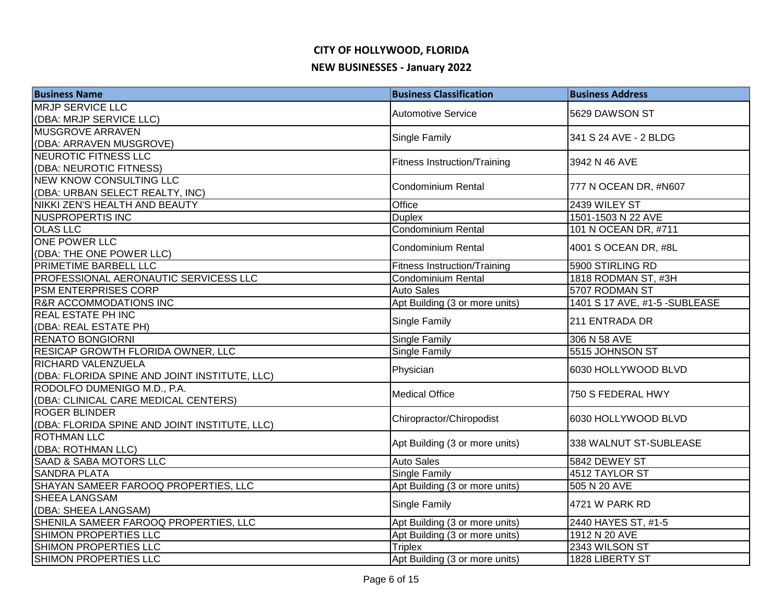## **CITY OF HOLLYWOOD, FLORIDA**

#### **NEW BUSINESSES - January 2022**

| <b>Business Name</b>                          | <b>Business Classification</b>      | <b>Business Address</b>       |
|-----------------------------------------------|-------------------------------------|-------------------------------|
| <b>MRJP SERVICE LLC</b>                       | <b>Automotive Service</b>           | 5629 DAWSON ST                |
| (DBA: MRJP SERVICE LLC)                       |                                     |                               |
| MUSGROVE ARRAVEN                              | <b>Single Family</b>                | 341 S 24 AVE - 2 BLDG         |
| (DBA: ARRAVEN MUSGROVE)                       |                                     |                               |
| NEUROTIC FITNESS LLC                          | <b>Fitness Instruction/Training</b> | 3942 N 46 AVE                 |
| (DBA: NEUROTIC FITNESS)                       |                                     |                               |
| <b>NEW KNOW CONSULTING LLC</b>                | <b>Condominium Rental</b>           | 777 N OCEAN DR, #N607         |
| (DBA: URBAN SELECT REALTY, INC)               |                                     |                               |
| NIKKI ZEN'S HEALTH AND BEAUTY                 | Office                              | 2439 WILEY ST                 |
| <b>NUSPROPERTIS INC</b>                       | <b>Duplex</b>                       | 1501-1503 N 22 AVE            |
| <b>OLAS LLC</b>                               | <b>Condominium Rental</b>           | 101 N OCEAN DR, #711          |
| <b>ONE POWER LLC</b>                          | <b>Condominium Rental</b>           | 4001 S OCEAN DR, #8L          |
| (DBA: THE ONE POWER LLC)                      |                                     |                               |
| PRIMETIME BARBELL LLC                         | <b>Fitness Instruction/Training</b> | 5900 STIRLING RD              |
| PROFESSIONAL AERONAUTIC SERVICESS LLC         | Condominium Rental                  | 1818 RODMAN ST, #3H           |
| <b>PSM ENTERPRISES CORP</b>                   | <b>Auto Sales</b>                   | 5707 RODMAN ST                |
| <b>R&amp;R ACCOMMODATIONS INC</b>             | Apt Building (3 or more units)      | 1401 S 17 AVE, #1-5 -SUBLEASE |
| <b>REAL ESTATE PH INC</b>                     | Single Family                       | 211 ENTRADA DR                |
| (DBA: REAL ESTATE PH)                         |                                     |                               |
| <b>RENATO BONGIORNI</b>                       | Single Family                       | 306 N 58 AVE                  |
| RESICAP GROWTH FLORIDA OWNER, LLC             | Single Family                       | 5515 JOHNSON ST               |
| RICHARD VALENZUELA                            | Physician                           | 6030 HOLLYWOOD BLVD           |
| (DBA: FLORIDA SPINE AND JOINT INSTITUTE, LLC) |                                     |                               |
| RODOLFO DUMENIGO M.D., P.A.                   | <b>Medical Office</b>               | 750 S FEDERAL HWY             |
| (DBA: CLINICAL CARE MEDICAL CENTERS)          |                                     |                               |
| <b>ROGER BLINDER</b>                          | Chiropractor/Chiropodist            | 6030 HOLLYWOOD BLVD           |
| (DBA: FLORIDA SPINE AND JOINT INSTITUTE, LLC) |                                     |                               |
| <b>ROTHMAN LLC</b>                            | Apt Building (3 or more units)      | 338 WALNUT ST-SUBLEASE        |
| (DBA: ROTHMAN LLC)                            |                                     |                               |
| <b>SAAD &amp; SABA MOTORS LLC</b>             | <b>Auto Sales</b>                   | 5842 DEWEY ST                 |
| <b>SANDRA PLATA</b>                           | <b>Single Family</b>                | 4512 TAYLOR ST                |
| SHAYAN SAMEER FAROOQ PROPERTIES, LLC          | Apt Building (3 or more units)      | 505 N 20 AVE                  |
| <b>SHEEA LANGSAM</b>                          | Single Family                       | 4721 W PARK RD                |
| (DBA: SHEEA LANGSAM)                          |                                     |                               |
| SHENILA SAMEER FAROOQ PROPERTIES, LLC         | Apt Building (3 or more units)      | 2440 HAYES ST, #1-5           |
| SHIMON PROPERTIES LLC                         | Apt Building (3 or more units)      | 1912 N 20 AVE                 |
| SHIMON PROPERTIES LLC                         | <b>Triplex</b>                      | 2343 WILSON ST                |
| <b>SHIMON PROPERTIES LLC</b>                  | Apt Building (3 or more units)      | 1828 LIBERTY ST               |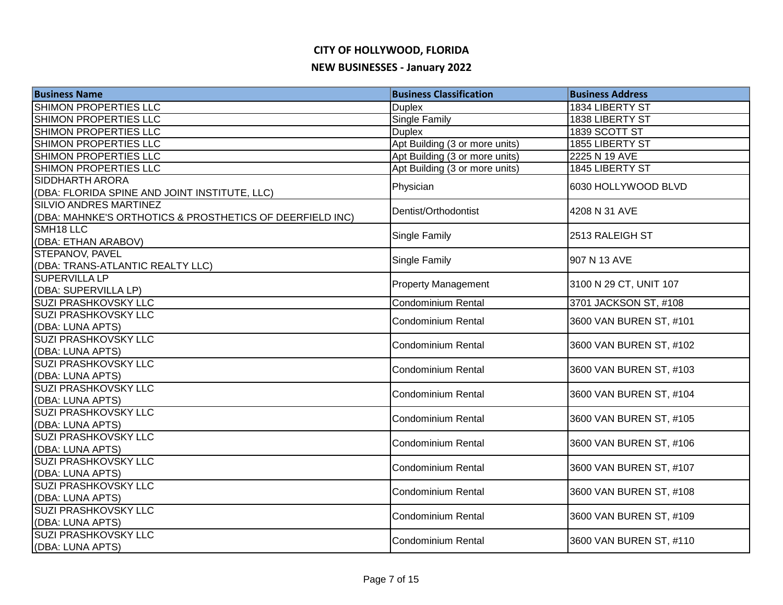#### **CITY OF HOLLYWOOD, FLORIDA**

#### **NEW BUSINESSES - January 2022**

| <b>Business Name</b>                                                                      | <b>Business Classification</b> | <b>Business Address</b> |
|-------------------------------------------------------------------------------------------|--------------------------------|-------------------------|
| <b>SHIMON PROPERTIES LLC</b>                                                              | <b>Duplex</b>                  | 1834 LIBERTY ST         |
| <b>SHIMON PROPERTIES LLC</b>                                                              | Single Family                  | 1838 LIBERTY ST         |
| SHIMON PROPERTIES LLC                                                                     | <b>Duplex</b>                  | 1839 SCOTT ST           |
| SHIMON PROPERTIES LLC                                                                     | Apt Building (3 or more units) | 1855 LIBERTY ST         |
| SHIMON PROPERTIES LLC                                                                     | Apt Building (3 or more units) | 2225 N 19 AVE           |
| SHIMON PROPERTIES LLC                                                                     | Apt Building (3 or more units) | 1845 LIBERTY ST         |
| SIDDHARTH ARORA<br>(DBA: FLORIDA SPINE AND JOINT INSTITUTE, LLC)                          | Physician                      | 6030 HOLLYWOOD BLVD     |
| <b>SILVIO ANDRES MARTINEZ</b><br>(DBA: MAHNKE'S ORTHOTICS & PROSTHETICS OF DEERFIELD INC) | Dentist/Orthodontist           | 4208 N 31 AVE           |
| SMH <sub>18</sub> LLC<br>(DBA: ETHAN ARABOV)                                              | Single Family                  | 2513 RALEIGH ST         |
| STEPANOV, PAVEL<br>(DBA: TRANS-ATLANTIC REALTY LLC)                                       | Single Family                  | 907 N 13 AVE            |
| <b>SUPERVILLA LP</b><br>(DBA: SUPERVILLA LP)                                              | <b>Property Management</b>     | 3100 N 29 CT, UNIT 107  |
| <b>SUZI PRASHKOVSKY LLC</b>                                                               | Condominium Rental             | 3701 JACKSON ST, #108   |
| <b>SUZI PRASHKOVSKY LLC</b><br>(DBA: LUNA APTS)                                           | <b>Condominium Rental</b>      | 3600 VAN BUREN ST, #101 |
| <b>SUZI PRASHKOVSKY LLC</b><br>(DBA: LUNA APTS)                                           | <b>Condominium Rental</b>      | 3600 VAN BUREN ST, #102 |
| <b>SUZI PRASHKOVSKY LLC</b><br>(DBA: LUNA APTS)                                           | <b>Condominium Rental</b>      | 3600 VAN BUREN ST, #103 |
| <b>SUZI PRASHKOVSKY LLC</b><br>(DBA: LUNA APTS)                                           | <b>Condominium Rental</b>      | 3600 VAN BUREN ST, #104 |
| <b>SUZI PRASHKOVSKY LLC</b><br>(DBA: LUNA APTS)                                           | <b>Condominium Rental</b>      | 3600 VAN BUREN ST, #105 |
| <b>SUZI PRASHKOVSKY LLC</b><br>(DBA: LUNA APTS)                                           | <b>Condominium Rental</b>      | 3600 VAN BUREN ST, #106 |
| <b>SUZI PRASHKOVSKY LLC</b><br>(DBA: LUNA APTS)                                           | <b>Condominium Rental</b>      | 3600 VAN BUREN ST, #107 |
| SUZI PRASHKOVSKY LLC<br>(DBA: LUNA APTS)                                                  | <b>Condominium Rental</b>      | 3600 VAN BUREN ST, #108 |
| <b>SUZI PRASHKOVSKY LLC</b><br>(DBA: LUNA APTS)                                           | <b>Condominium Rental</b>      | 3600 VAN BUREN ST, #109 |
| SUZI PRASHKOVSKY LLC<br>(DBA: LUNA APTS)                                                  | <b>Condominium Rental</b>      | 3600 VAN BUREN ST, #110 |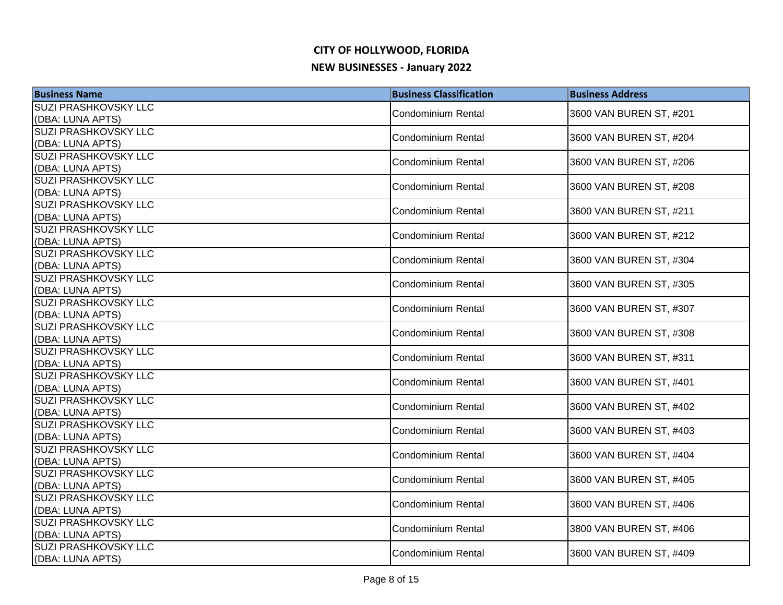| <b>Business Name</b>                            | <b>Business Classification</b> | <b>Business Address</b> |
|-------------------------------------------------|--------------------------------|-------------------------|
| SUZI PRASHKOVSKY LLC                            | <b>Condominium Rental</b>      | 3600 VAN BUREN ST, #201 |
| (DBA: LUNA APTS)                                |                                |                         |
| <b>SUZI PRASHKOVSKY LLC</b>                     | <b>Condominium Rental</b>      | 3600 VAN BUREN ST, #204 |
| (DBA: LUNA APTS)                                |                                |                         |
| <b>SUZI PRASHKOVSKY LLC</b>                     | <b>Condominium Rental</b>      | 3600 VAN BUREN ST, #206 |
| (DBA: LUNA APTS)                                |                                |                         |
| <b>SUZI PRASHKOVSKY LLC</b><br>(DBA: LUNA APTS) | <b>Condominium Rental</b>      | 3600 VAN BUREN ST, #208 |
| <b>SUZI PRASHKOVSKY LLC</b>                     |                                |                         |
| (DBA: LUNA APTS)                                | <b>Condominium Rental</b>      | 3600 VAN BUREN ST, #211 |
| <b>SUZI PRASHKOVSKY LLC</b>                     |                                |                         |
| (DBA: LUNA APTS)                                | Condominium Rental             | 3600 VAN BUREN ST, #212 |
| SUZI PRASHKOVSKY LLC                            |                                |                         |
| (DBA: LUNA APTS)                                | Condominium Rental             | 3600 VAN BUREN ST, #304 |
| SUZI PRASHKOVSKY LLC                            | <b>Condominium Rental</b>      | 3600 VAN BUREN ST, #305 |
| (DBA: LUNA APTS)                                |                                |                         |
| SUZI PRASHKOVSKY LLC                            | <b>Condominium Rental</b>      | 3600 VAN BUREN ST, #307 |
| (DBA: LUNA APTS)                                |                                |                         |
| SUZI PRASHKOVSKY LLC                            | <b>Condominium Rental</b>      | 3600 VAN BUREN ST, #308 |
| (DBA: LUNA APTS)                                |                                |                         |
| SUZI PRASHKOVSKY LLC                            | <b>Condominium Rental</b>      | 3600 VAN BUREN ST, #311 |
| (DBA: LUNA APTS)<br>SUZI PRASHKOVSKY LLC        |                                |                         |
| (DBA: LUNA APTS)                                | <b>Condominium Rental</b>      | 3600 VAN BUREN ST, #401 |
| <b>SUZI PRASHKOVSKY LLC</b>                     |                                |                         |
| (DBA: LUNA APTS)                                | <b>Condominium Rental</b>      | 3600 VAN BUREN ST, #402 |
| <b>SUZI PRASHKOVSKY LLC</b>                     |                                |                         |
| (DBA: LUNA APTS)                                | <b>Condominium Rental</b>      | 3600 VAN BUREN ST, #403 |
| <b>SUZI PRASHKOVSKY LLC</b>                     |                                |                         |
| (DBA: LUNA APTS)                                | <b>Condominium Rental</b>      | 3600 VAN BUREN ST, #404 |
| <b>SUZI PRASHKOVSKY LLC</b>                     | <b>Condominium Rental</b>      | 3600 VAN BUREN ST, #405 |
| (DBA: LUNA APTS)                                |                                |                         |
| SUZI PRASHKOVSKY LLC                            | <b>Condominium Rental</b>      | 3600 VAN BUREN ST, #406 |
| (DBA: LUNA APTS)                                |                                |                         |
| SUZI PRASHKOVSKY LLC                            | <b>Condominium Rental</b>      | 3800 VAN BUREN ST, #406 |
| (DBA: LUNA APTS)                                |                                |                         |
| <b>SUZI PRASHKOVSKY LLC</b>                     | <b>Condominium Rental</b>      | 3600 VAN BUREN ST, #409 |
| (DBA: LUNA APTS)                                |                                |                         |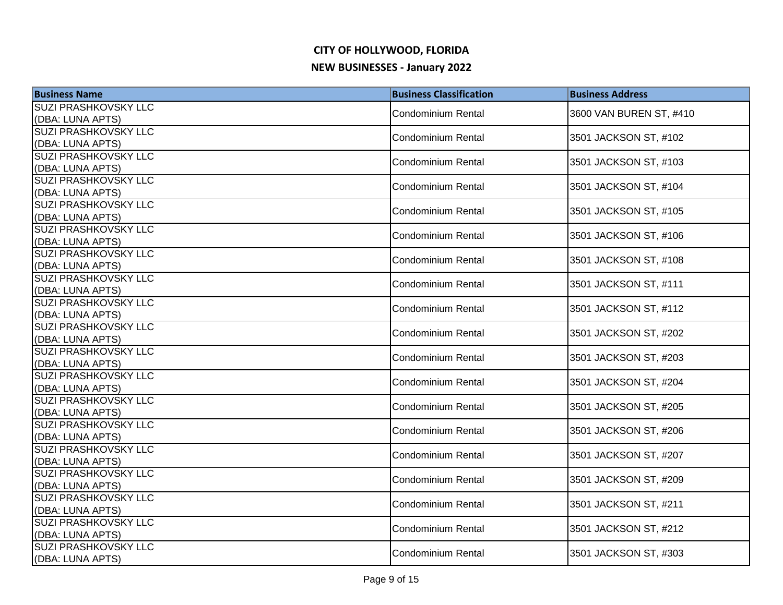| <b>SUZI PRASHKOVSKY LLC</b><br><b>Condominium Rental</b><br>3600 VAN BUREN ST, #410<br>(DBA: LUNA APTS)<br><b>SUZI PRASHKOVSKY LLC</b><br><b>Condominium Rental</b><br>3501 JACKSON ST, #102<br>(DBA: LUNA APTS)<br><b>SUZI PRASHKOVSKY LLC</b><br><b>Condominium Rental</b><br>3501 JACKSON ST, #103<br>(DBA: LUNA APTS)<br><b>SUZI PRASHKOVSKY LLC</b><br>3501 JACKSON ST, #104<br><b>Condominium Rental</b><br>(DBA: LUNA APTS)<br><b>SUZI PRASHKOVSKY LLC</b><br>3501 JACKSON ST, #105<br><b>Condominium Rental</b><br>(DBA: LUNA APTS)<br><b>SUZI PRASHKOVSKY LLC</b><br>3501 JACKSON ST, #106<br>Condominium Rental<br>(DBA: LUNA APTS)<br>SUZI PRASHKOVSKY LLC<br>3501 JACKSON ST, #108<br>Condominium Rental<br>(DBA: LUNA APTS)<br>SUZI PRASHKOVSKY LLC<br><b>Condominium Rental</b><br>3501 JACKSON ST, #111<br>(DBA: LUNA APTS)<br>SUZI PRASHKOVSKY LLC<br>3501 JACKSON ST, #112<br><b>Condominium Rental</b><br>(DBA: LUNA APTS)<br>SUZI PRASHKOVSKY LLC<br>3501 JACKSON ST, #202<br><b>Condominium Rental</b><br>(DBA: LUNA APTS)<br>SUZI PRASHKOVSKY LLC<br><b>Condominium Rental</b><br>3501 JACKSON ST, #203<br>(DBA: LUNA APTS)<br>SUZI PRASHKOVSKY LLC<br><b>Condominium Rental</b><br>3501 JACKSON ST, #204<br>(DBA: LUNA APTS)<br><b>SUZI PRASHKOVSKY LLC</b><br><b>Condominium Rental</b><br>3501 JACKSON ST, #205<br>(DBA: LUNA APTS)<br><b>SUZI PRASHKOVSKY LLC</b><br><b>Condominium Rental</b><br>3501 JACKSON ST, #206<br>(DBA: LUNA APTS)<br><b>SUZI PRASHKOVSKY LLC</b><br><b>Condominium Rental</b><br>3501 JACKSON ST, #207<br>(DBA: LUNA APTS)<br><b>SUZI PRASHKOVSKY LLC</b><br><b>Condominium Rental</b><br>3501 JACKSON ST, #209<br>(DBA: LUNA APTS)<br><b>SUZI PRASHKOVSKY LLC</b><br>3501 JACKSON ST, #211<br><b>Condominium Rental</b><br>(DBA: LUNA APTS)<br>SUZI PRASHKOVSKY LLC<br><b>Condominium Rental</b><br>3501 JACKSON ST, #212<br>(DBA: LUNA APTS)<br><b>SUZI PRASHKOVSKY LLC</b><br>Condominium Rental<br>3501 JACKSON ST, #303<br>(DBA: LUNA APTS) | <b>Business Name</b> | <b>Business Classification</b> | <b>Business Address</b> |
|-----------------------------------------------------------------------------------------------------------------------------------------------------------------------------------------------------------------------------------------------------------------------------------------------------------------------------------------------------------------------------------------------------------------------------------------------------------------------------------------------------------------------------------------------------------------------------------------------------------------------------------------------------------------------------------------------------------------------------------------------------------------------------------------------------------------------------------------------------------------------------------------------------------------------------------------------------------------------------------------------------------------------------------------------------------------------------------------------------------------------------------------------------------------------------------------------------------------------------------------------------------------------------------------------------------------------------------------------------------------------------------------------------------------------------------------------------------------------------------------------------------------------------------------------------------------------------------------------------------------------------------------------------------------------------------------------------------------------------------------------------------------------------------------------------------------------------------------------------------------------------------------------------------------------------------------------------------------------------------------------------|----------------------|--------------------------------|-------------------------|
|                                                                                                                                                                                                                                                                                                                                                                                                                                                                                                                                                                                                                                                                                                                                                                                                                                                                                                                                                                                                                                                                                                                                                                                                                                                                                                                                                                                                                                                                                                                                                                                                                                                                                                                                                                                                                                                                                                                                                                                                     |                      |                                |                         |
|                                                                                                                                                                                                                                                                                                                                                                                                                                                                                                                                                                                                                                                                                                                                                                                                                                                                                                                                                                                                                                                                                                                                                                                                                                                                                                                                                                                                                                                                                                                                                                                                                                                                                                                                                                                                                                                                                                                                                                                                     |                      |                                |                         |
|                                                                                                                                                                                                                                                                                                                                                                                                                                                                                                                                                                                                                                                                                                                                                                                                                                                                                                                                                                                                                                                                                                                                                                                                                                                                                                                                                                                                                                                                                                                                                                                                                                                                                                                                                                                                                                                                                                                                                                                                     |                      |                                |                         |
|                                                                                                                                                                                                                                                                                                                                                                                                                                                                                                                                                                                                                                                                                                                                                                                                                                                                                                                                                                                                                                                                                                                                                                                                                                                                                                                                                                                                                                                                                                                                                                                                                                                                                                                                                                                                                                                                                                                                                                                                     |                      |                                |                         |
|                                                                                                                                                                                                                                                                                                                                                                                                                                                                                                                                                                                                                                                                                                                                                                                                                                                                                                                                                                                                                                                                                                                                                                                                                                                                                                                                                                                                                                                                                                                                                                                                                                                                                                                                                                                                                                                                                                                                                                                                     |                      |                                |                         |
|                                                                                                                                                                                                                                                                                                                                                                                                                                                                                                                                                                                                                                                                                                                                                                                                                                                                                                                                                                                                                                                                                                                                                                                                                                                                                                                                                                                                                                                                                                                                                                                                                                                                                                                                                                                                                                                                                                                                                                                                     |                      |                                |                         |
|                                                                                                                                                                                                                                                                                                                                                                                                                                                                                                                                                                                                                                                                                                                                                                                                                                                                                                                                                                                                                                                                                                                                                                                                                                                                                                                                                                                                                                                                                                                                                                                                                                                                                                                                                                                                                                                                                                                                                                                                     |                      |                                |                         |
|                                                                                                                                                                                                                                                                                                                                                                                                                                                                                                                                                                                                                                                                                                                                                                                                                                                                                                                                                                                                                                                                                                                                                                                                                                                                                                                                                                                                                                                                                                                                                                                                                                                                                                                                                                                                                                                                                                                                                                                                     |                      |                                |                         |
|                                                                                                                                                                                                                                                                                                                                                                                                                                                                                                                                                                                                                                                                                                                                                                                                                                                                                                                                                                                                                                                                                                                                                                                                                                                                                                                                                                                                                                                                                                                                                                                                                                                                                                                                                                                                                                                                                                                                                                                                     |                      |                                |                         |
|                                                                                                                                                                                                                                                                                                                                                                                                                                                                                                                                                                                                                                                                                                                                                                                                                                                                                                                                                                                                                                                                                                                                                                                                                                                                                                                                                                                                                                                                                                                                                                                                                                                                                                                                                                                                                                                                                                                                                                                                     |                      |                                |                         |
|                                                                                                                                                                                                                                                                                                                                                                                                                                                                                                                                                                                                                                                                                                                                                                                                                                                                                                                                                                                                                                                                                                                                                                                                                                                                                                                                                                                                                                                                                                                                                                                                                                                                                                                                                                                                                                                                                                                                                                                                     |                      |                                |                         |
|                                                                                                                                                                                                                                                                                                                                                                                                                                                                                                                                                                                                                                                                                                                                                                                                                                                                                                                                                                                                                                                                                                                                                                                                                                                                                                                                                                                                                                                                                                                                                                                                                                                                                                                                                                                                                                                                                                                                                                                                     |                      |                                |                         |
|                                                                                                                                                                                                                                                                                                                                                                                                                                                                                                                                                                                                                                                                                                                                                                                                                                                                                                                                                                                                                                                                                                                                                                                                                                                                                                                                                                                                                                                                                                                                                                                                                                                                                                                                                                                                                                                                                                                                                                                                     |                      |                                |                         |
|                                                                                                                                                                                                                                                                                                                                                                                                                                                                                                                                                                                                                                                                                                                                                                                                                                                                                                                                                                                                                                                                                                                                                                                                                                                                                                                                                                                                                                                                                                                                                                                                                                                                                                                                                                                                                                                                                                                                                                                                     |                      |                                |                         |
|                                                                                                                                                                                                                                                                                                                                                                                                                                                                                                                                                                                                                                                                                                                                                                                                                                                                                                                                                                                                                                                                                                                                                                                                                                                                                                                                                                                                                                                                                                                                                                                                                                                                                                                                                                                                                                                                                                                                                                                                     |                      |                                |                         |
|                                                                                                                                                                                                                                                                                                                                                                                                                                                                                                                                                                                                                                                                                                                                                                                                                                                                                                                                                                                                                                                                                                                                                                                                                                                                                                                                                                                                                                                                                                                                                                                                                                                                                                                                                                                                                                                                                                                                                                                                     |                      |                                |                         |
|                                                                                                                                                                                                                                                                                                                                                                                                                                                                                                                                                                                                                                                                                                                                                                                                                                                                                                                                                                                                                                                                                                                                                                                                                                                                                                                                                                                                                                                                                                                                                                                                                                                                                                                                                                                                                                                                                                                                                                                                     |                      |                                |                         |
|                                                                                                                                                                                                                                                                                                                                                                                                                                                                                                                                                                                                                                                                                                                                                                                                                                                                                                                                                                                                                                                                                                                                                                                                                                                                                                                                                                                                                                                                                                                                                                                                                                                                                                                                                                                                                                                                                                                                                                                                     |                      |                                |                         |
|                                                                                                                                                                                                                                                                                                                                                                                                                                                                                                                                                                                                                                                                                                                                                                                                                                                                                                                                                                                                                                                                                                                                                                                                                                                                                                                                                                                                                                                                                                                                                                                                                                                                                                                                                                                                                                                                                                                                                                                                     |                      |                                |                         |
|                                                                                                                                                                                                                                                                                                                                                                                                                                                                                                                                                                                                                                                                                                                                                                                                                                                                                                                                                                                                                                                                                                                                                                                                                                                                                                                                                                                                                                                                                                                                                                                                                                                                                                                                                                                                                                                                                                                                                                                                     |                      |                                |                         |
|                                                                                                                                                                                                                                                                                                                                                                                                                                                                                                                                                                                                                                                                                                                                                                                                                                                                                                                                                                                                                                                                                                                                                                                                                                                                                                                                                                                                                                                                                                                                                                                                                                                                                                                                                                                                                                                                                                                                                                                                     |                      |                                |                         |
|                                                                                                                                                                                                                                                                                                                                                                                                                                                                                                                                                                                                                                                                                                                                                                                                                                                                                                                                                                                                                                                                                                                                                                                                                                                                                                                                                                                                                                                                                                                                                                                                                                                                                                                                                                                                                                                                                                                                                                                                     |                      |                                |                         |
|                                                                                                                                                                                                                                                                                                                                                                                                                                                                                                                                                                                                                                                                                                                                                                                                                                                                                                                                                                                                                                                                                                                                                                                                                                                                                                                                                                                                                                                                                                                                                                                                                                                                                                                                                                                                                                                                                                                                                                                                     |                      |                                |                         |
|                                                                                                                                                                                                                                                                                                                                                                                                                                                                                                                                                                                                                                                                                                                                                                                                                                                                                                                                                                                                                                                                                                                                                                                                                                                                                                                                                                                                                                                                                                                                                                                                                                                                                                                                                                                                                                                                                                                                                                                                     |                      |                                |                         |
|                                                                                                                                                                                                                                                                                                                                                                                                                                                                                                                                                                                                                                                                                                                                                                                                                                                                                                                                                                                                                                                                                                                                                                                                                                                                                                                                                                                                                                                                                                                                                                                                                                                                                                                                                                                                                                                                                                                                                                                                     |                      |                                |                         |
|                                                                                                                                                                                                                                                                                                                                                                                                                                                                                                                                                                                                                                                                                                                                                                                                                                                                                                                                                                                                                                                                                                                                                                                                                                                                                                                                                                                                                                                                                                                                                                                                                                                                                                                                                                                                                                                                                                                                                                                                     |                      |                                |                         |
|                                                                                                                                                                                                                                                                                                                                                                                                                                                                                                                                                                                                                                                                                                                                                                                                                                                                                                                                                                                                                                                                                                                                                                                                                                                                                                                                                                                                                                                                                                                                                                                                                                                                                                                                                                                                                                                                                                                                                                                                     |                      |                                |                         |
|                                                                                                                                                                                                                                                                                                                                                                                                                                                                                                                                                                                                                                                                                                                                                                                                                                                                                                                                                                                                                                                                                                                                                                                                                                                                                                                                                                                                                                                                                                                                                                                                                                                                                                                                                                                                                                                                                                                                                                                                     |                      |                                |                         |
|                                                                                                                                                                                                                                                                                                                                                                                                                                                                                                                                                                                                                                                                                                                                                                                                                                                                                                                                                                                                                                                                                                                                                                                                                                                                                                                                                                                                                                                                                                                                                                                                                                                                                                                                                                                                                                                                                                                                                                                                     |                      |                                |                         |
|                                                                                                                                                                                                                                                                                                                                                                                                                                                                                                                                                                                                                                                                                                                                                                                                                                                                                                                                                                                                                                                                                                                                                                                                                                                                                                                                                                                                                                                                                                                                                                                                                                                                                                                                                                                                                                                                                                                                                                                                     |                      |                                |                         |
|                                                                                                                                                                                                                                                                                                                                                                                                                                                                                                                                                                                                                                                                                                                                                                                                                                                                                                                                                                                                                                                                                                                                                                                                                                                                                                                                                                                                                                                                                                                                                                                                                                                                                                                                                                                                                                                                                                                                                                                                     |                      |                                |                         |
|                                                                                                                                                                                                                                                                                                                                                                                                                                                                                                                                                                                                                                                                                                                                                                                                                                                                                                                                                                                                                                                                                                                                                                                                                                                                                                                                                                                                                                                                                                                                                                                                                                                                                                                                                                                                                                                                                                                                                                                                     |                      |                                |                         |
|                                                                                                                                                                                                                                                                                                                                                                                                                                                                                                                                                                                                                                                                                                                                                                                                                                                                                                                                                                                                                                                                                                                                                                                                                                                                                                                                                                                                                                                                                                                                                                                                                                                                                                                                                                                                                                                                                                                                                                                                     |                      |                                |                         |
|                                                                                                                                                                                                                                                                                                                                                                                                                                                                                                                                                                                                                                                                                                                                                                                                                                                                                                                                                                                                                                                                                                                                                                                                                                                                                                                                                                                                                                                                                                                                                                                                                                                                                                                                                                                                                                                                                                                                                                                                     |                      |                                |                         |
|                                                                                                                                                                                                                                                                                                                                                                                                                                                                                                                                                                                                                                                                                                                                                                                                                                                                                                                                                                                                                                                                                                                                                                                                                                                                                                                                                                                                                                                                                                                                                                                                                                                                                                                                                                                                                                                                                                                                                                                                     |                      |                                |                         |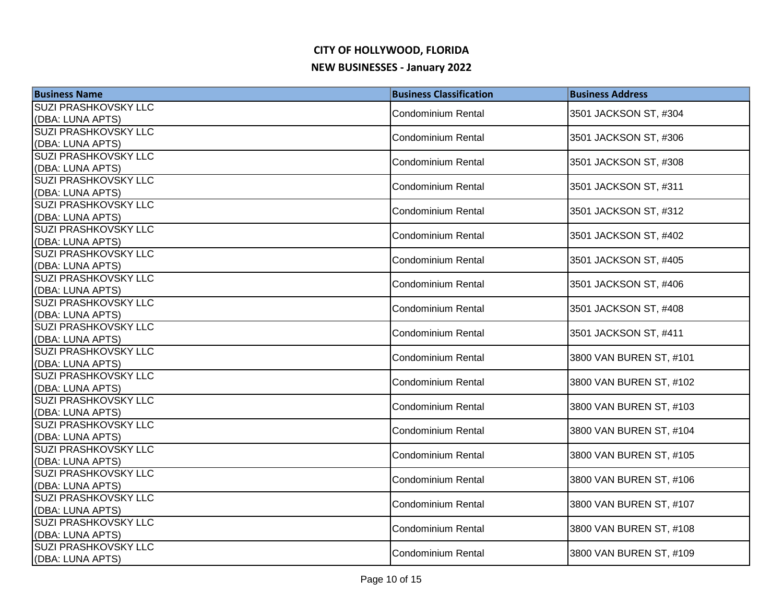| <b>Business Name</b>                            | <b>Business Classification</b> | <b>Business Address</b> |
|-------------------------------------------------|--------------------------------|-------------------------|
| SUZI PRASHKOVSKY LLC                            | Condominium Rental             | 3501 JACKSON ST, #304   |
| (DBA: LUNA APTS)                                |                                |                         |
| <b>SUZI PRASHKOVSKY LLC</b>                     | <b>Condominium Rental</b>      | 3501 JACKSON ST, #306   |
| (DBA: LUNA APTS)                                |                                |                         |
| <b>SUZI PRASHKOVSKY LLC</b>                     | <b>Condominium Rental</b>      | 3501 JACKSON ST, #308   |
| (DBA: LUNA APTS)                                |                                |                         |
| <b>SUZI PRASHKOVSKY LLC</b>                     | <b>Condominium Rental</b>      | 3501 JACKSON ST, #311   |
| (DBA: LUNA APTS)                                |                                |                         |
| <b>SUZI PRASHKOVSKY LLC</b>                     | Condominium Rental             | 3501 JACKSON ST, #312   |
| (DBA: LUNA APTS)<br><b>SUZI PRASHKOVSKY LLC</b> |                                |                         |
| (DBA: LUNA APTS)                                | Condominium Rental             | 3501 JACKSON ST, #402   |
| SUZI PRASHKOVSKY LLC                            |                                |                         |
| (DBA: LUNA APTS)                                | Condominium Rental             | 3501 JACKSON ST, #405   |
| SUZI PRASHKOVSKY LLC                            |                                |                         |
| (DBA: LUNA APTS)                                | <b>Condominium Rental</b>      | 3501 JACKSON ST, #406   |
| SUZI PRASHKOVSKY LLC                            | Condominium Rental             | 3501 JACKSON ST, #408   |
| (DBA: LUNA APTS)                                |                                |                         |
| <b>SUZI PRASHKOVSKY LLC</b>                     | Condominium Rental             | 3501 JACKSON ST, #411   |
| (DBA: LUNA APTS)                                |                                |                         |
| <b>SUZI PRASHKOVSKY LLC</b>                     | <b>Condominium Rental</b>      | 3800 VAN BUREN ST, #101 |
| (DBA: LUNA APTS)                                |                                |                         |
| SUZI PRASHKOVSKY LLC                            | <b>Condominium Rental</b>      | 3800 VAN BUREN ST, #102 |
| (DBA: LUNA APTS)                                |                                |                         |
| SUZI PRASHKOVSKY LLC                            | <b>Condominium Rental</b>      | 3800 VAN BUREN ST, #103 |
| (DBA: LUNA APTS)<br><b>SUZI PRASHKOVSKY LLC</b> |                                |                         |
| (DBA: LUNA APTS)                                | Condominium Rental             | 3800 VAN BUREN ST, #104 |
| <b>SUZI PRASHKOVSKY LLC</b>                     |                                |                         |
| (DBA: LUNA APTS)                                | Condominium Rental             | 3800 VAN BUREN ST, #105 |
| <b>SUZI PRASHKOVSKY LLC</b>                     |                                |                         |
| (DBA: LUNA APTS)                                | <b>Condominium Rental</b>      | 3800 VAN BUREN ST, #106 |
| SUZI PRASHKOVSKY LLC                            |                                |                         |
| (DBA: LUNA APTS)                                | <b>Condominium Rental</b>      | 3800 VAN BUREN ST, #107 |
| SUZI PRASHKOVSKY LLC                            | <b>Condominium Rental</b>      | 3800 VAN BUREN ST, #108 |
| (DBA: LUNA APTS)                                |                                |                         |
| <b>SUZI PRASHKOVSKY LLC</b>                     | Condominium Rental             | 3800 VAN BUREN ST, #109 |
| (DBA: LUNA APTS)                                |                                |                         |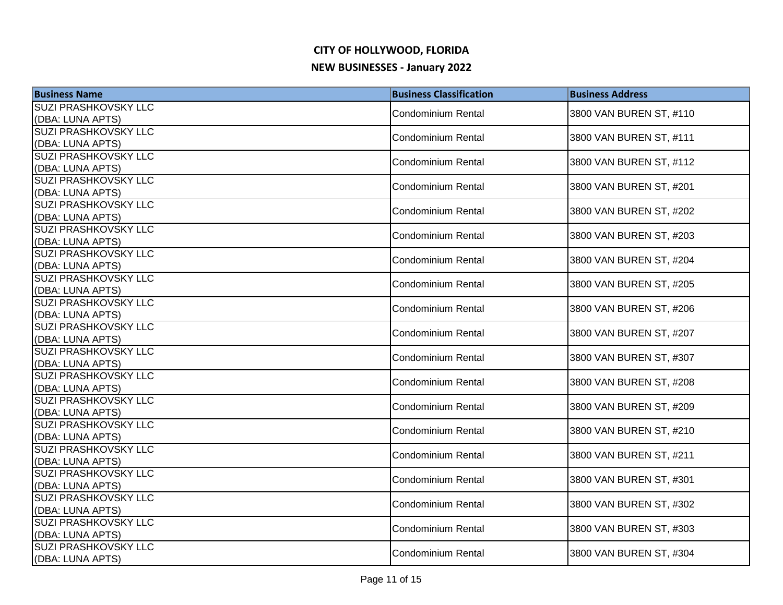| <b>Business Name</b>                            | <b>Business Classification</b> | <b>Business Address</b> |
|-------------------------------------------------|--------------------------------|-------------------------|
| SUZI PRASHKOVSKY LLC                            | <b>Condominium Rental</b>      | 3800 VAN BUREN ST, #110 |
| (DBA: LUNA APTS)                                |                                |                         |
| <b>SUZI PRASHKOVSKY LLC</b>                     | <b>Condominium Rental</b>      | 3800 VAN BUREN ST, #111 |
| (DBA: LUNA APTS)                                |                                |                         |
| <b>SUZI PRASHKOVSKY LLC</b>                     | Condominium Rental             | 3800 VAN BUREN ST, #112 |
| (DBA: LUNA APTS)                                |                                |                         |
| <b>SUZI PRASHKOVSKY LLC</b><br>(DBA: LUNA APTS) | Condominium Rental             | 3800 VAN BUREN ST, #201 |
| <b>SUZI PRASHKOVSKY LLC</b>                     |                                |                         |
| (DBA: LUNA APTS)                                | Condominium Rental             | 3800 VAN BUREN ST, #202 |
| <b>SUZI PRASHKOVSKY LLC</b>                     |                                |                         |
| (DBA: LUNA APTS)                                | <b>Condominium Rental</b>      | 3800 VAN BUREN ST, #203 |
| SUZI PRASHKOVSKY LLC                            |                                |                         |
| (DBA: LUNA APTS)                                | <b>Condominium Rental</b>      | 3800 VAN BUREN ST, #204 |
| SUZI PRASHKOVSKY LLC                            | <b>Condominium Rental</b>      | 3800 VAN BUREN ST, #205 |
| (DBA: LUNA APTS)                                |                                |                         |
| SUZI PRASHKOVSKY LLC                            | <b>Condominium Rental</b>      | 3800 VAN BUREN ST, #206 |
| (DBA: LUNA APTS)                                |                                |                         |
| SUZI PRASHKOVSKY LLC                            | <b>Condominium Rental</b>      | 3800 VAN BUREN ST, #207 |
| (DBA: LUNA APTS)                                |                                |                         |
| SUZI PRASHKOVSKY LLC                            | Condominium Rental             | 3800 VAN BUREN ST, #307 |
| (DBA: LUNA APTS)<br>SUZI PRASHKOVSKY LLC        |                                |                         |
| (DBA: LUNA APTS)                                | <b>Condominium Rental</b>      | 3800 VAN BUREN ST, #208 |
| <b>SUZI PRASHKOVSKY LLC</b>                     |                                |                         |
| (DBA: LUNA APTS)                                | <b>Condominium Rental</b>      | 3800 VAN BUREN ST, #209 |
| <b>SUZI PRASHKOVSKY LLC</b>                     |                                |                         |
| (DBA: LUNA APTS)                                | Condominium Rental             | 3800 VAN BUREN ST, #210 |
| <b>SUZI PRASHKOVSKY LLC</b>                     |                                |                         |
| (DBA: LUNA APTS)                                | <b>Condominium Rental</b>      | 3800 VAN BUREN ST, #211 |
| <b>SUZI PRASHKOVSKY LLC</b>                     | <b>Condominium Rental</b>      | 3800 VAN BUREN ST, #301 |
| (DBA: LUNA APTS)                                |                                |                         |
| SUZI PRASHKOVSKY LLC                            | Condominium Rental             | 3800 VAN BUREN ST, #302 |
| (DBA: LUNA APTS)                                |                                |                         |
| SUZI PRASHKOVSKY LLC                            | Condominium Rental             | 3800 VAN BUREN ST, #303 |
| (DBA: LUNA APTS)                                |                                |                         |
| <b>SUZI PRASHKOVSKY LLC</b>                     | <b>Condominium Rental</b>      | 3800 VAN BUREN ST, #304 |
| (DBA: LUNA APTS)                                |                                |                         |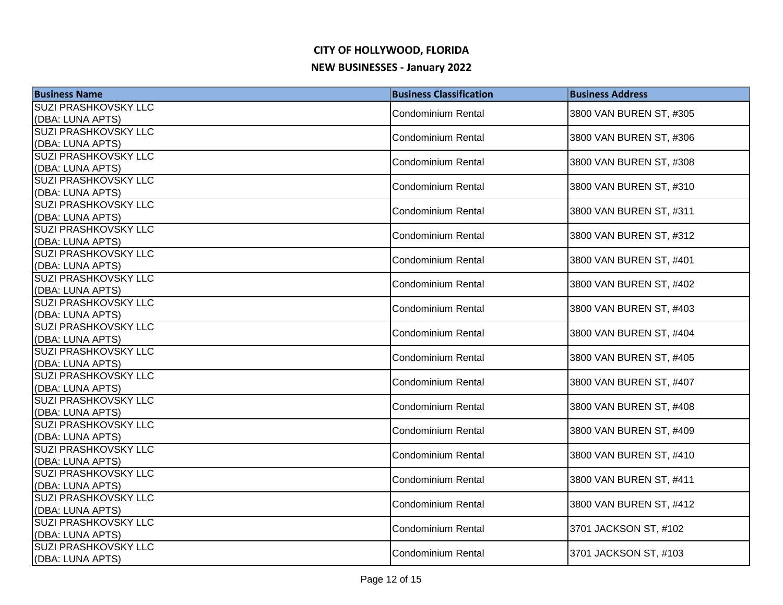| <b>Business Name</b>                            | <b>Business Classification</b> | <b>Business Address</b> |
|-------------------------------------------------|--------------------------------|-------------------------|
| SUZI PRASHKOVSKY LLC                            | <b>Condominium Rental</b>      | 3800 VAN BUREN ST, #305 |
| (DBA: LUNA APTS)                                |                                |                         |
| <b>SUZI PRASHKOVSKY LLC</b>                     | <b>Condominium Rental</b>      | 3800 VAN BUREN ST, #306 |
| (DBA: LUNA APTS)                                |                                |                         |
| <b>SUZI PRASHKOVSKY LLC</b>                     | <b>Condominium Rental</b>      | 3800 VAN BUREN ST, #308 |
| (DBA: LUNA APTS)                                |                                |                         |
| <b>SUZI PRASHKOVSKY LLC</b><br>(DBA: LUNA APTS) | <b>Condominium Rental</b>      | 3800 VAN BUREN ST, #310 |
| <b>SUZI PRASHKOVSKY LLC</b>                     |                                |                         |
| (DBA: LUNA APTS)                                | <b>Condominium Rental</b>      | 3800 VAN BUREN ST, #311 |
| <b>SUZI PRASHKOVSKY LLC</b>                     |                                |                         |
| (DBA: LUNA APTS)                                | Condominium Rental             | 3800 VAN BUREN ST, #312 |
| <b>SUZI PRASHKOVSKY LLC</b>                     |                                |                         |
| (DBA: LUNA APTS)                                | Condominium Rental             | 3800 VAN BUREN ST, #401 |
| SUZI PRASHKOVSKY LLC                            | <b>Condominium Rental</b>      | 3800 VAN BUREN ST, #402 |
| (DBA: LUNA APTS)                                |                                |                         |
| SUZI PRASHKOVSKY LLC                            | <b>Condominium Rental</b>      | 3800 VAN BUREN ST, #403 |
| (DBA: LUNA APTS)                                |                                |                         |
| SUZI PRASHKOVSKY LLC                            | <b>Condominium Rental</b>      | 3800 VAN BUREN ST, #404 |
| (DBA: LUNA APTS)                                |                                |                         |
| SUZI PRASHKOVSKY LLC                            | <b>Condominium Rental</b>      | 3800 VAN BUREN ST, #405 |
| (DBA: LUNA APTS)<br><b>SUZI PRASHKOVSKY LLC</b> |                                |                         |
| (DBA: LUNA APTS)                                | <b>Condominium Rental</b>      | 3800 VAN BUREN ST, #407 |
| <b>SUZI PRASHKOVSKY LLC</b>                     |                                |                         |
| (DBA: LUNA APTS)                                | <b>Condominium Rental</b>      | 3800 VAN BUREN ST, #408 |
| <b>SUZI PRASHKOVSKY LLC</b>                     |                                |                         |
| (DBA: LUNA APTS)                                | <b>Condominium Rental</b>      | 3800 VAN BUREN ST, #409 |
| <b>SUZI PRASHKOVSKY LLC</b>                     |                                |                         |
| (DBA: LUNA APTS)                                | <b>Condominium Rental</b>      | 3800 VAN BUREN ST, #410 |
| <b>SUZI PRASHKOVSKY LLC</b>                     | <b>Condominium Rental</b>      | 3800 VAN BUREN ST, #411 |
| (DBA: LUNA APTS)                                |                                |                         |
| SUZI PRASHKOVSKY LLC                            | <b>Condominium Rental</b>      | 3800 VAN BUREN ST, #412 |
| (DBA: LUNA APTS)                                |                                |                         |
| SUZI PRASHKOVSKY LLC                            | <b>Condominium Rental</b>      | 3701 JACKSON ST, #102   |
| (DBA: LUNA APTS)                                |                                |                         |
| <b>SUZI PRASHKOVSKY LLC</b>                     | <b>Condominium Rental</b>      | 3701 JACKSON ST, #103   |
| (DBA: LUNA APTS)                                |                                |                         |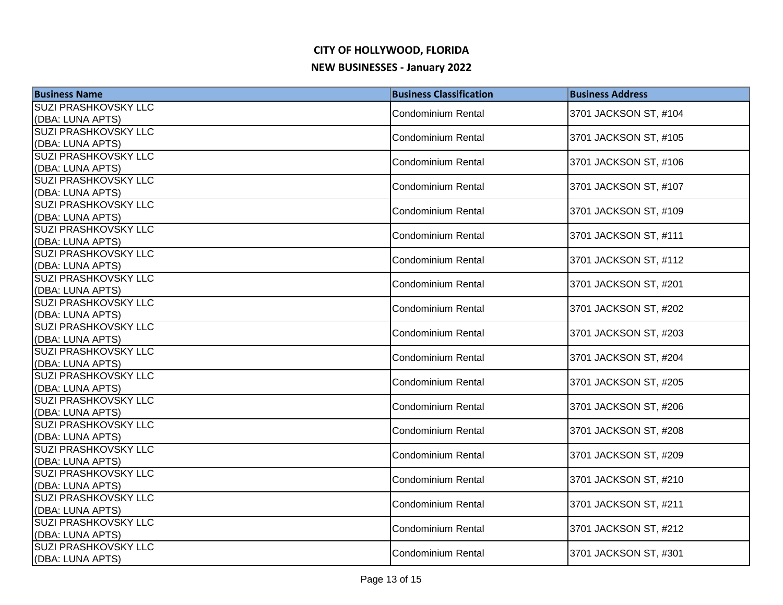| <b>Business Name</b>                            | <b>Business Classification</b> | <b>Business Address</b> |
|-------------------------------------------------|--------------------------------|-------------------------|
| <b>SUZI PRASHKOVSKY LLC</b>                     | Condominium Rental             | 3701 JACKSON ST, #104   |
| (DBA: LUNA APTS)                                |                                |                         |
| <b>SUZI PRASHKOVSKY LLC</b>                     | <b>Condominium Rental</b>      | 3701 JACKSON ST, #105   |
| (DBA: LUNA APTS)                                |                                |                         |
| <b>SUZI PRASHKOVSKY LLC</b>                     | <b>Condominium Rental</b>      | 3701 JACKSON ST, #106   |
| (DBA: LUNA APTS)                                |                                |                         |
| <b>SUZI PRASHKOVSKY LLC</b>                     | <b>Condominium Rental</b>      | 3701 JACKSON ST, #107   |
| (DBA: LUNA APTS)<br><b>SUZI PRASHKOVSKY LLC</b> |                                |                         |
| (DBA: LUNA APTS)                                | Condominium Rental             | 3701 JACKSON ST, #109   |
| <b>SUZI PRASHKOVSKY LLC</b>                     |                                |                         |
| (DBA: LUNA APTS)                                | Condominium Rental             | 3701 JACKSON ST, #111   |
| SUZI PRASHKOVSKY LLC                            |                                |                         |
| (DBA: LUNA APTS)                                | Condominium Rental             | 3701 JACKSON ST, #112   |
| SUZI PRASHKOVSKY LLC                            | <b>Condominium Rental</b>      |                         |
| (DBA: LUNA APTS)                                |                                | 3701 JACKSON ST, #201   |
| SUZI PRASHKOVSKY LLC                            | <b>Condominium Rental</b>      | 3701 JACKSON ST, #202   |
| (DBA: LUNA APTS)                                |                                |                         |
| <b>SUZI PRASHKOVSKY LLC</b>                     | Condominium Rental             | 3701 JACKSON ST, #203   |
| (DBA: LUNA APTS)                                |                                |                         |
| <b>SUZI PRASHKOVSKY LLC</b>                     | <b>Condominium Rental</b>      | 3701 JACKSON ST, #204   |
| (DBA: LUNA APTS)                                |                                |                         |
| <b>SUZI PRASHKOVSKY LLC</b><br>(DBA: LUNA APTS) | <b>Condominium Rental</b>      | 3701 JACKSON ST, #205   |
| SUZI PRASHKOVSKY LLC                            |                                |                         |
| (DBA: LUNA APTS)                                | <b>Condominium Rental</b>      | 3701 JACKSON ST, #206   |
| <b>SUZI PRASHKOVSKY LLC</b>                     |                                |                         |
| (DBA: LUNA APTS)                                | Condominium Rental             | 3701 JACKSON ST, #208   |
| <b>SUZI PRASHKOVSKY LLC</b>                     |                                |                         |
| (DBA: LUNA APTS)                                | <b>Condominium Rental</b>      | 3701 JACKSON ST, #209   |
| <b>SUZI PRASHKOVSKY LLC</b>                     | <b>Condominium Rental</b>      |                         |
| (DBA: LUNA APTS)                                |                                | 3701 JACKSON ST, #210   |
| SUZI PRASHKOVSKY LLC                            | <b>Condominium Rental</b>      | 3701 JACKSON ST, #211   |
| (DBA: LUNA APTS)                                |                                |                         |
| SUZI PRASHKOVSKY LLC                            | <b>Condominium Rental</b>      | 3701 JACKSON ST, #212   |
| (DBA: LUNA APTS)                                |                                |                         |
| <b>SUZI PRASHKOVSKY LLC</b>                     | Condominium Rental             | 3701 JACKSON ST, #301   |
| (DBA: LUNA APTS)                                |                                |                         |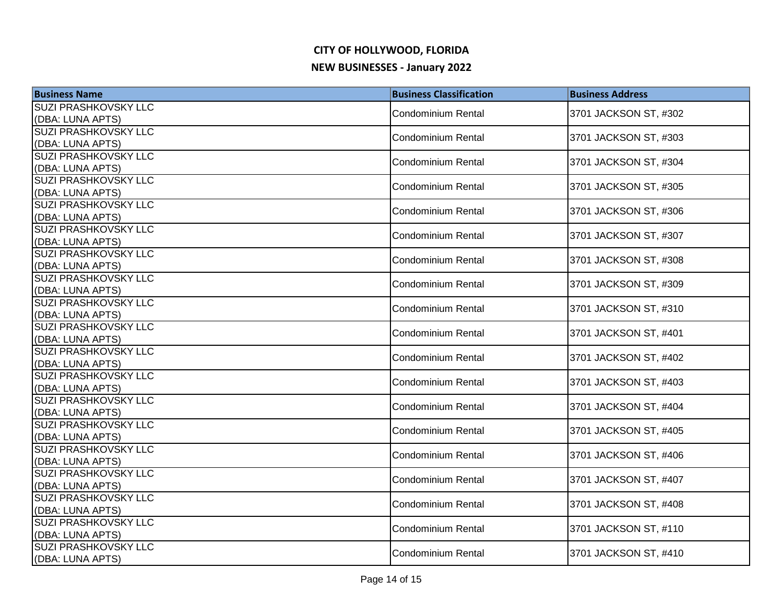| <b>Business Name</b>                            | <b>Business Classification</b> | <b>Business Address</b> |
|-------------------------------------------------|--------------------------------|-------------------------|
| <b>SUZI PRASHKOVSKY LLC</b>                     | Condominium Rental             | 3701 JACKSON ST, #302   |
| (DBA: LUNA APTS)                                |                                |                         |
| <b>SUZI PRASHKOVSKY LLC</b>                     | <b>Condominium Rental</b>      | 3701 JACKSON ST, #303   |
| (DBA: LUNA APTS)                                |                                |                         |
| <b>SUZI PRASHKOVSKY LLC</b>                     | <b>Condominium Rental</b>      | 3701 JACKSON ST, #304   |
| (DBA: LUNA APTS)                                |                                |                         |
| <b>SUZI PRASHKOVSKY LLC</b>                     | <b>Condominium Rental</b>      | 3701 JACKSON ST, #305   |
| (DBA: LUNA APTS)                                |                                |                         |
| <b>SUZI PRASHKOVSKY LLC</b>                     | Condominium Rental             | 3701 JACKSON ST, #306   |
| (DBA: LUNA APTS)<br><b>SUZI PRASHKOVSKY LLC</b> |                                |                         |
| (DBA: LUNA APTS)                                | Condominium Rental             | 3701 JACKSON ST, #307   |
| SUZI PRASHKOVSKY LLC                            |                                |                         |
| (DBA: LUNA APTS)                                | Condominium Rental             | 3701 JACKSON ST, #308   |
| SUZI PRASHKOVSKY LLC                            |                                |                         |
| (DBA: LUNA APTS)                                | <b>Condominium Rental</b>      | 3701 JACKSON ST, #309   |
| SUZI PRASHKOVSKY LLC                            | <b>Condominium Rental</b>      | 3701 JACKSON ST, #310   |
| (DBA: LUNA APTS)                                |                                |                         |
| <b>SUZI PRASHKOVSKY LLC</b>                     | Condominium Rental             | 3701 JACKSON ST, #401   |
| (DBA: LUNA APTS)                                |                                |                         |
| <b>SUZI PRASHKOVSKY LLC</b>                     | <b>Condominium Rental</b>      | 3701 JACKSON ST, #402   |
| (DBA: LUNA APTS)                                |                                |                         |
| SUZI PRASHKOVSKY LLC                            | <b>Condominium Rental</b>      | 3701 JACKSON ST, #403   |
| (DBA: LUNA APTS)                                |                                |                         |
| SUZI PRASHKOVSKY LLC                            | <b>Condominium Rental</b>      | 3701 JACKSON ST, #404   |
| (DBA: LUNA APTS)                                |                                |                         |
| <b>SUZI PRASHKOVSKY LLC</b><br>(DBA: LUNA APTS) | Condominium Rental             | 3701 JACKSON ST, #405   |
| <b>SUZI PRASHKOVSKY LLC</b>                     |                                |                         |
| (DBA: LUNA APTS)                                | Condominium Rental             | 3701 JACKSON ST, #406   |
| <b>SUZI PRASHKOVSKY LLC</b>                     |                                |                         |
| (DBA: LUNA APTS)                                | <b>Condominium Rental</b>      | 3701 JACKSON ST, #407   |
| SUZI PRASHKOVSKY LLC                            |                                |                         |
| (DBA: LUNA APTS)                                | <b>Condominium Rental</b>      | 3701 JACKSON ST, #408   |
| SUZI PRASHKOVSKY LLC                            |                                |                         |
| (DBA: LUNA APTS)                                | <b>Condominium Rental</b>      | 3701 JACKSON ST, #110   |
| <b>SUZI PRASHKOVSKY LLC</b>                     | Condominium Rental             | 3701 JACKSON ST, #410   |
| (DBA: LUNA APTS)                                |                                |                         |